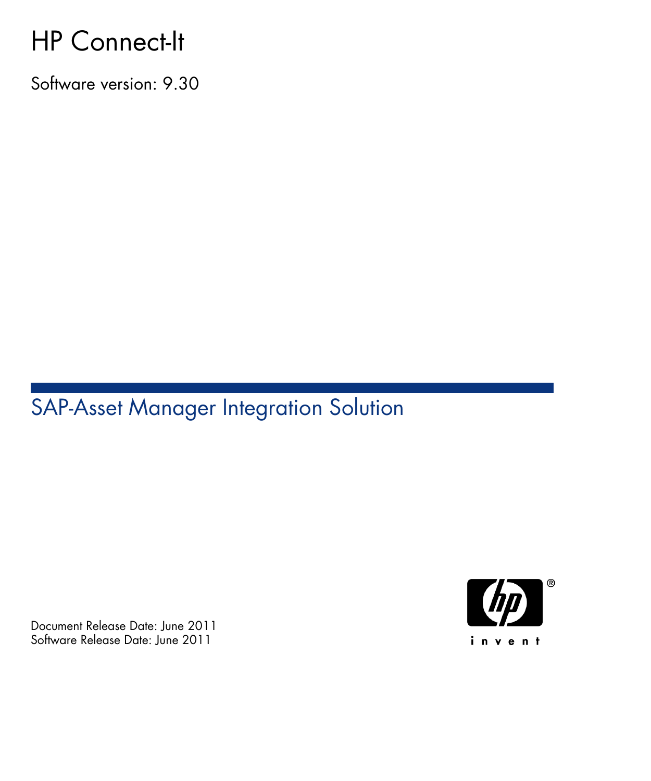## HP Connect-It

Software version: 9.30

## SAP-Asset Manager Integration Solution

Document Release Date: June 2011 Software Release Date: June 2011

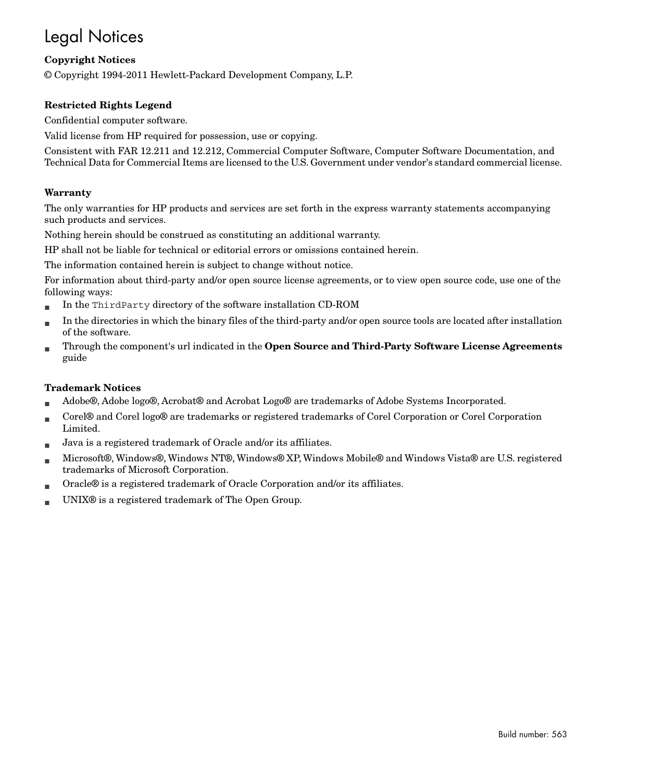## Legal Notices

#### **Copyright Notices**

© Copyright 1994-2011 Hewlett-Packard Development Company, L.P.

#### **Restricted Rights Legend**

Confidential computer software.

Valid license from HP required for possession, use or copying.

Consistent with FAR 12.211 and 12.212, Commercial Computer Software, Computer Software Documentation, and Technical Data for Commercial Items are licensed to the U.S. Government under vendor's standard commercial license.

#### **Warranty**

The only warranties for HP products and services are set forth in the express warranty statements accompanying such products and services.

Nothing herein should be construed as constituting an additional warranty.

HP shall not be liable for technical or editorial errors or omissions contained herein.

The information contained herein is subject to change without notice.

For information about third-party and/or open source license agreements, or to view open source code, use one of the following ways:

- <sup>n</sup> In the ThirdParty directory of the software installation CD-ROM
- n In the directories in which the binary files of the third-party and/or open source tools are located after installation of the software.
- n Through the component's url indicated in the **Open Source and Third-Party Software License Agreements** guide

#### **Trademark Notices**

- n Adobe®, Adobe logo®, Acrobat® and Acrobat Logo® are trademarks of Adobe Systems Incorporated.
- n Corel® and Corel logo® are trademarks or registered trademarks of Corel Corporation or Corel Corporation Limited.
- Java is a registered trademark of Oracle and/or its affiliates.
- n Microsoft®, Windows®, Windows NT®, Windows® XP, Windows Mobile® and Windows Vista® are U.S. registered trademarks of Microsoft Corporation.
- Oracle® is a registered trademark of Oracle Corporation and/or its affiliates.
- UNIX<sup>®</sup> is a registered trademark of The Open Group.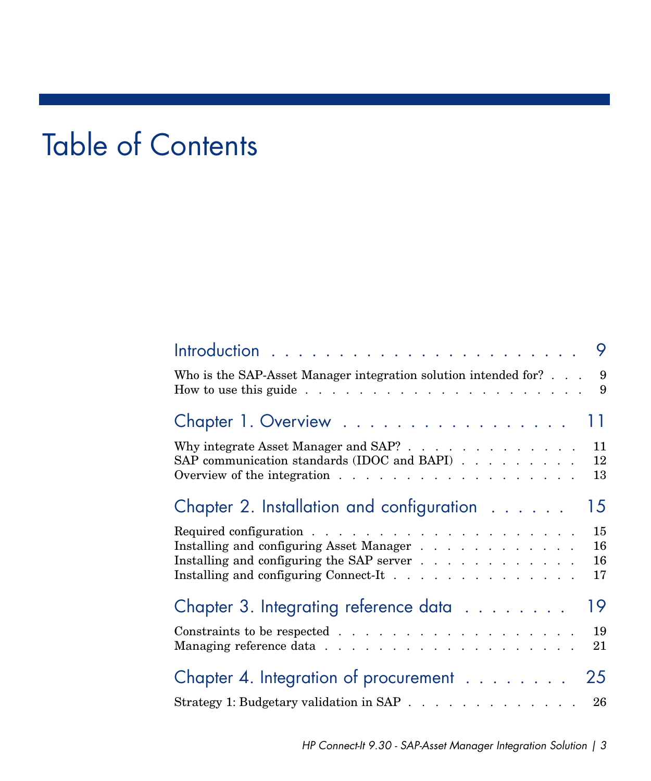# Table of Contents

| Who is the SAP-Asset Manager integration solution intended for? 9                           |                      |
|---------------------------------------------------------------------------------------------|----------------------|
| Chapter 1. Overview                                                                         | 11                   |
| Why integrate Asset Manager and SAP?<br>SAP communication standards (IDOC and BAPI)         | 11<br>12<br>13       |
| Chapter 2. Installation and configuration                                                   | 15                   |
| Installing and configuring the SAP server $\ldots$<br>Installing and configuring Connect-It | 15<br>16<br>16<br>17 |
| Chapter 3. Integrating reference data                                                       | 19                   |
|                                                                                             | 19<br>21             |
| Chapter 4. Integration of procurement 25                                                    |                      |
| Strategy 1: Budgetary validation in SAP $\ldots$ , 26                                       |                      |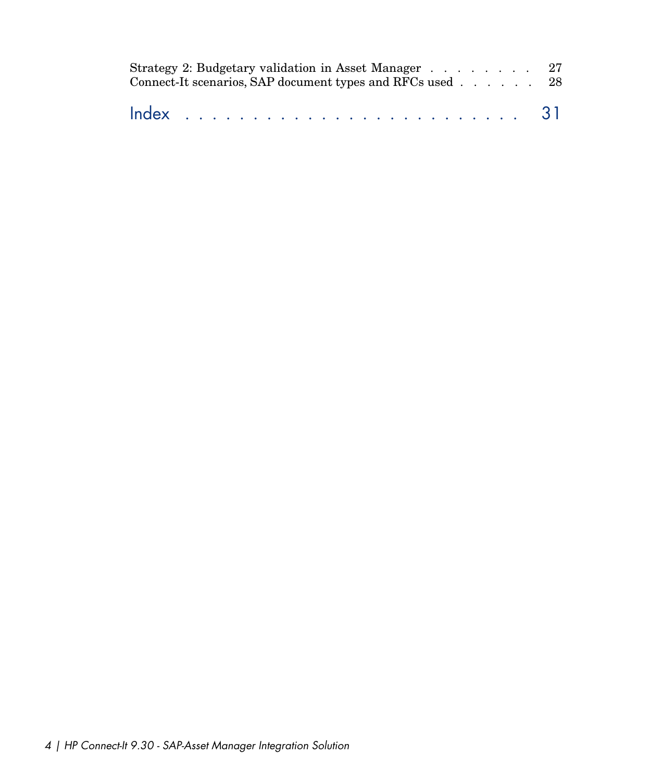| Strategy 2: Budgetary validation in Asset Manager 27      |  |  |  |  |  |  |  |  |  |  |  |  |  |  |
|-----------------------------------------------------------|--|--|--|--|--|--|--|--|--|--|--|--|--|--|
| Connect-It scenarios, SAP document types and RFCs used 28 |  |  |  |  |  |  |  |  |  |  |  |  |  |  |
|                                                           |  |  |  |  |  |  |  |  |  |  |  |  |  |  |
|                                                           |  |  |  |  |  |  |  |  |  |  |  |  |  |  |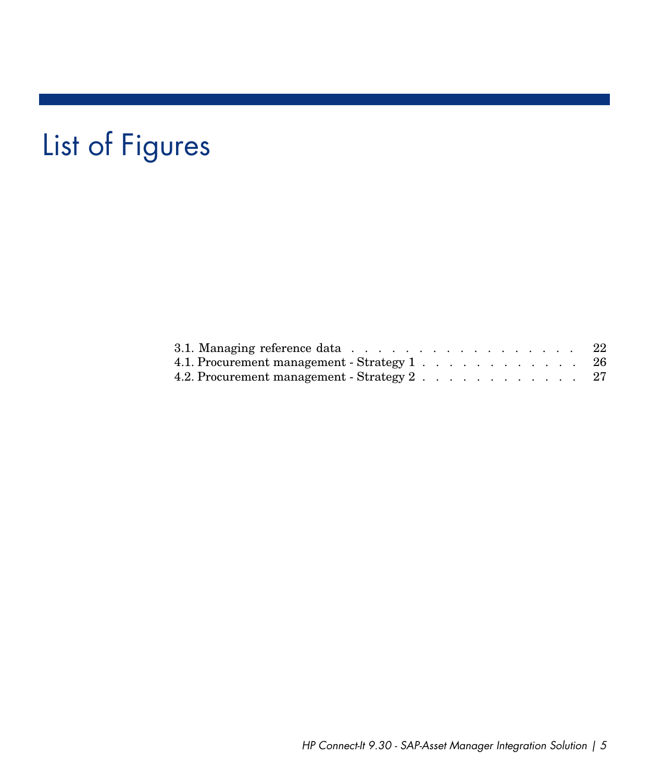# List of Figures

| 3.1. Managing reference data $\ldots$ 22                                                          |  |  |  |  |  |  |  |
|---------------------------------------------------------------------------------------------------|--|--|--|--|--|--|--|
| 4.1. Procurement management - Strategy 1 26                                                       |  |  |  |  |  |  |  |
| 4.2. Procurement management - Strategy 2 $\ldots$ $\ldots$ $\ldots$ $\ldots$ $\ldots$ $\ldots$ 27 |  |  |  |  |  |  |  |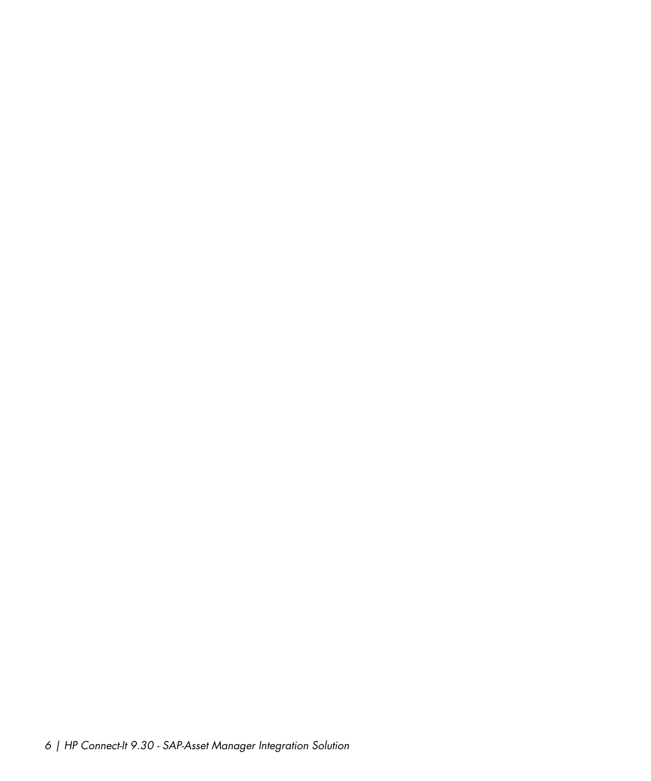*6 | HP Connect-It 9.30 - SAP-Asset Manager Integration Solution*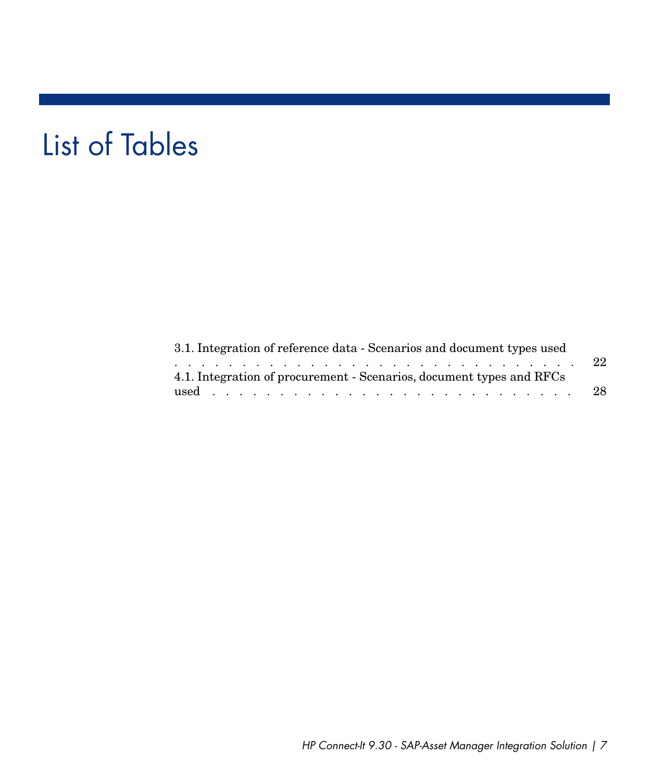# List of Tables

| 3.1. Integration of reference data - Scenarios and document types used               |     |
|--------------------------------------------------------------------------------------|-----|
| a caracteristic contracts of a caracteristic contracts of a caracteristic contracts. | -22 |
| 4.1. Integration of procurement - Scenarios, document types and RFCs                 |     |
|                                                                                      | -28 |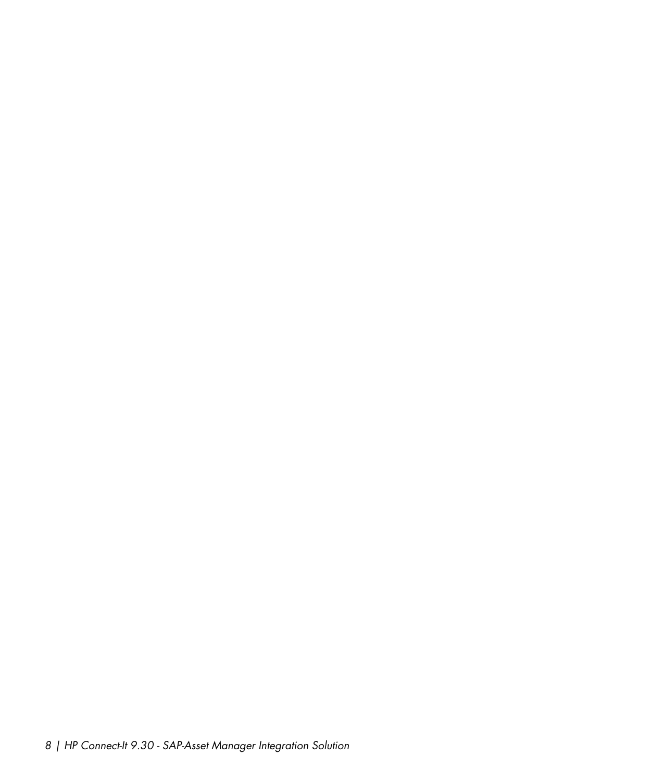*8 | HP Connect-It 9.30 - SAP-Asset Manager Integration Solution*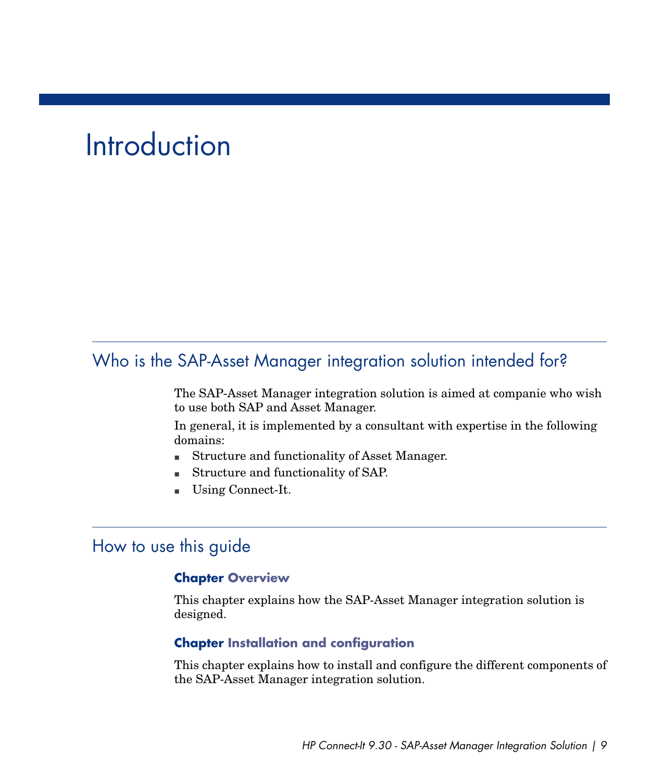## **Introduction**

#### <span id="page-8-0"></span>Who is the SAP-Asset Manager integration solution intended for?

The SAP-Asset Manager integration solution is aimed at companie who wish to use both SAP and Asset Manager.

In general, it is implemented by a consultant with expertise in the following domains:

- <span id="page-8-1"></span>■ Structure and functionality of Asset Manager.
- Structure and functionality of SAP.
- Using Connect-It.

#### How to use this guide

#### **Chapter [Overview](#page-10-0)**

This chapter explains how the SAP-Asset Manager integration solution is designed.

#### **Chapter [Installation and configuration](#page-14-0)**

This chapter explains how to install and configure the different components of the SAP-Asset Manager integration solution.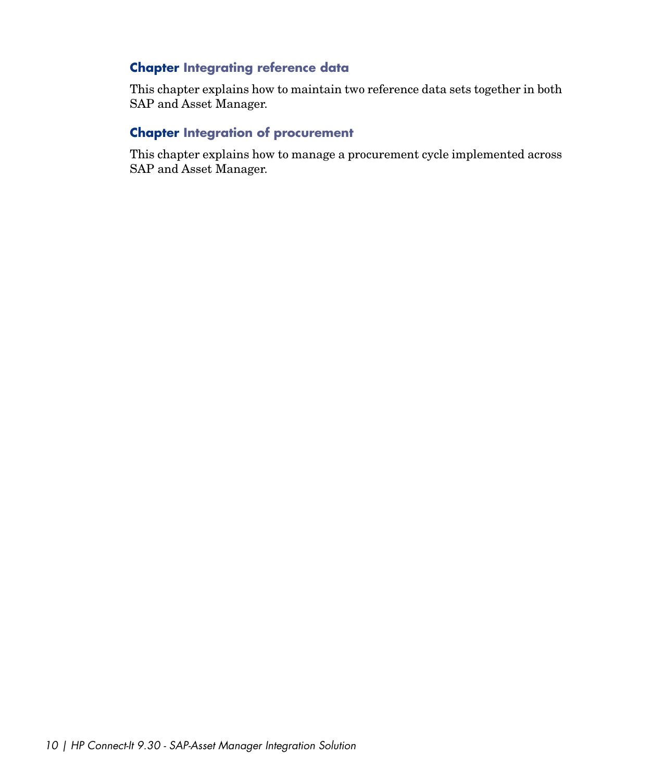#### **Chapter [Integrating reference data](#page-18-0)**

This chapter explains how to maintain two reference data sets together in both SAP and Asset Manager.

#### **Chapter [Integration of procurement](#page-24-0)**

This chapter explains how to manage a procurement cycle implemented across SAP and Asset Manager.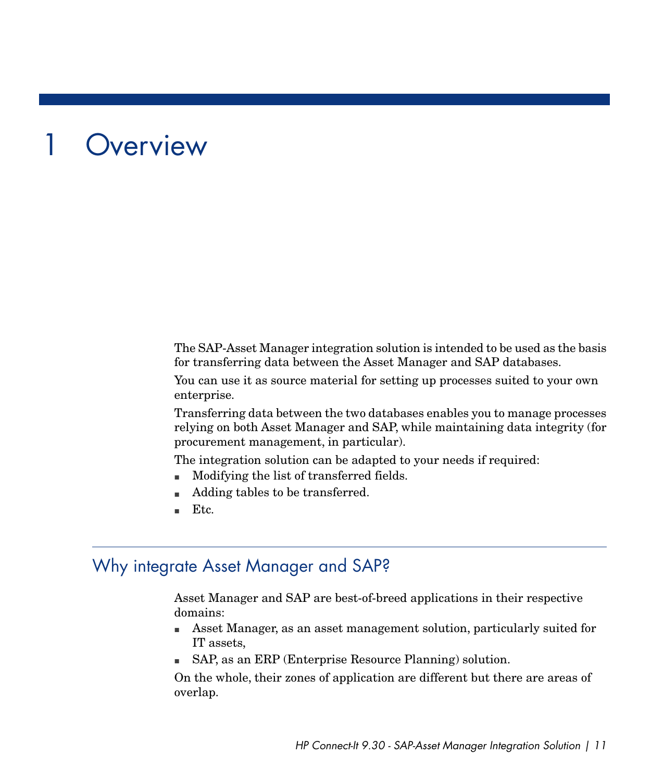## **Overview**

<span id="page-10-0"></span>The SAP-Asset Manager integration solution is intended to be used as the basis for transferring data between the Asset Manager and SAP databases.

You can use it as source material for setting up processes suited to your own enterprise.

<span id="page-10-2"></span>Transferring data between the two databases enables you to manage processes relying on both Asset Manager and SAP, while maintaining data integrity (for procurement management, in particular).

The integration solution can be adapted to your needs if required:

- <span id="page-10-1"></span><sup>n</sup> Modifying the list of transferred fields.
- Adding tables to be transferred.
- $E_{\rm E}$  Etc.

#### Why integrate Asset Manager and SAP?

Asset Manager and SAP are best-of-breed applications in their respective domains:

- <sup>n</sup> Asset Manager, as an asset management solution, particularly suited for IT assets,
- SAP, as an ERP (Enterprise Resource Planning) solution.

On the whole, their zones of application are different but there are areas of overlap.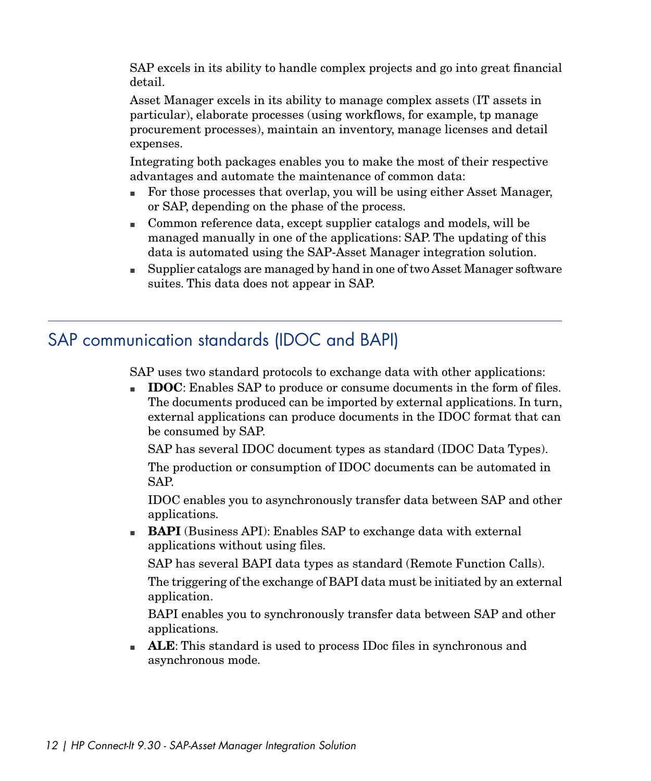SAP excels in its ability to handle complex projects and go into great financial detail.

Asset Manager excels in its ability to manage complex assets (IT assets in particular), elaborate processes (using workflows, for example, tp manage procurement processes), maintain an inventory, manage licenses and detail expenses.

Integrating both packages enables you to make the most of their respective advantages and automate the maintenance of common data:

- For those processes that overlap, you will be using either Asset Manager, or SAP, depending on the phase of the process.
- <sup>n</sup> Common reference data, except supplier catalogs and models, will be managed manually in one of the applications: SAP. The updating of this data is automated using the SAP-Asset Manager integration solution.
- <span id="page-11-0"></span><sup>n</sup> Supplier catalogs are managed by hand in one of two Asset Manager software suites. This data does not appear in SAP.

## SAP communication standards (IDOC and BAPI)

<span id="page-11-1"></span>SAP uses two standard protocols to exchange data with other applications:

<span id="page-11-2"></span>**IDOC**: Enables SAP to produce or consume documents in the form of files. The documents produced can be imported by external applications. In turn, external applications can produce documents in the IDOC format that can be consumed by SAP.

SAP has several IDOC document types as standard (IDOC Data Types).

The production or consumption of IDOC documents can be automated in SAP.

IDOC enables you to asynchronously transfer data between SAP and other applications.

<span id="page-11-3"></span>**BAPI** (Business API): Enables SAP to exchange data with external applications without using files.

SAP has several BAPI data types as standard (Remote Function Calls).

The triggering of the exchange of BAPI data must be initiated by an external application.

BAPI enables you to synchronously transfer data between SAP and other applications.

**ALE:** This standard is used to process IDoc files in synchronous and asynchronous mode.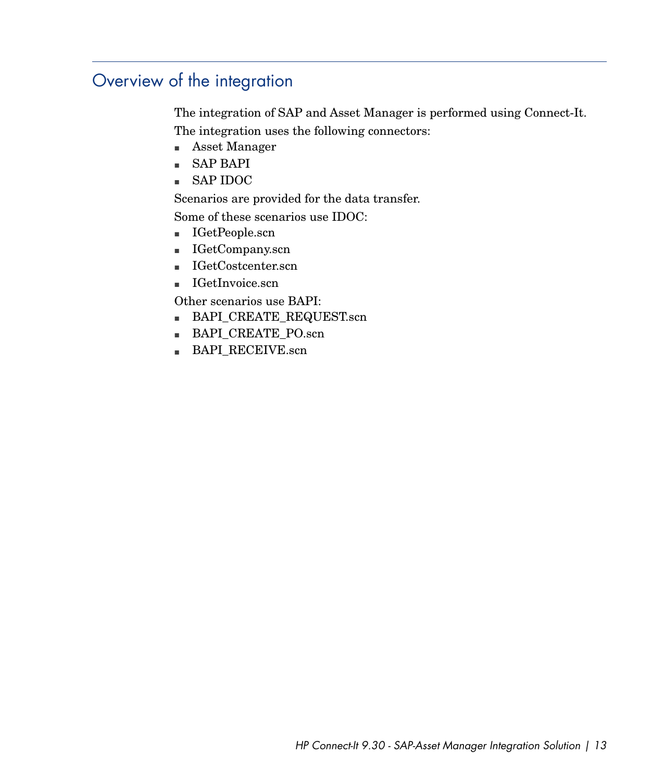## Overview of the integration

<span id="page-12-0"></span>The integration of SAP and Asset Manager is performed using Connect-It. The integration uses the following connectors:

- <span id="page-12-1"></span><sup>n</sup> Asset Manager
- <sup>n</sup> SAP BAPI
- <sup>n</sup> SAP IDOC

Scenarios are provided for the data transfer.

<span id="page-12-3"></span>Some of these scenarios use IDOC:

- IGetPeople.scn
- IGetCompany.scn
- <sup>n</sup> IGetCostcenter.scn
- <span id="page-12-2"></span><sup>n</sup> IGetInvoice.scn

Other scenarios use BAPI:

- <sup>n</sup> BAPI\_CREATE\_REQUEST.scn
- <sup>n</sup> BAPI\_CREATE\_PO.scn
- **n** BAPI RECEIVE.scn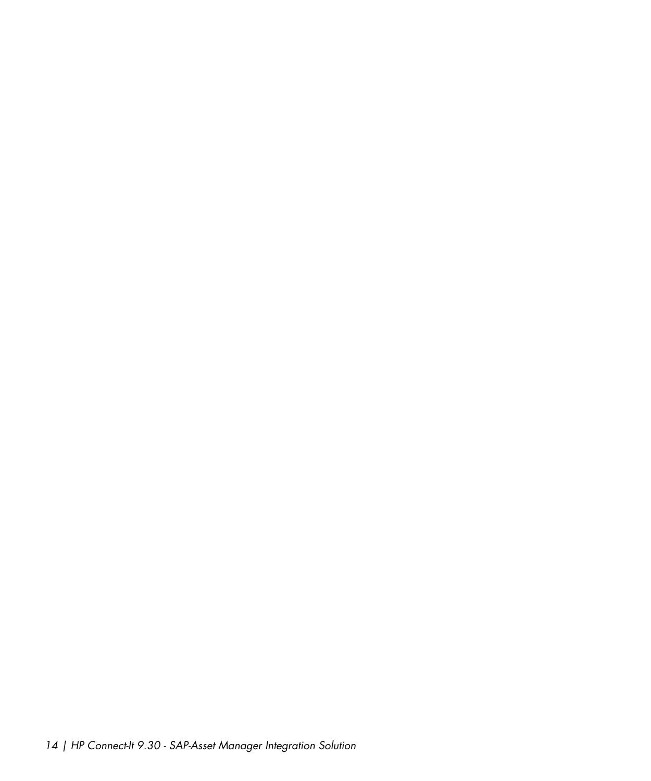*14 | HP Connect-It 9.30 - SAP-Asset Manager Integration Solution*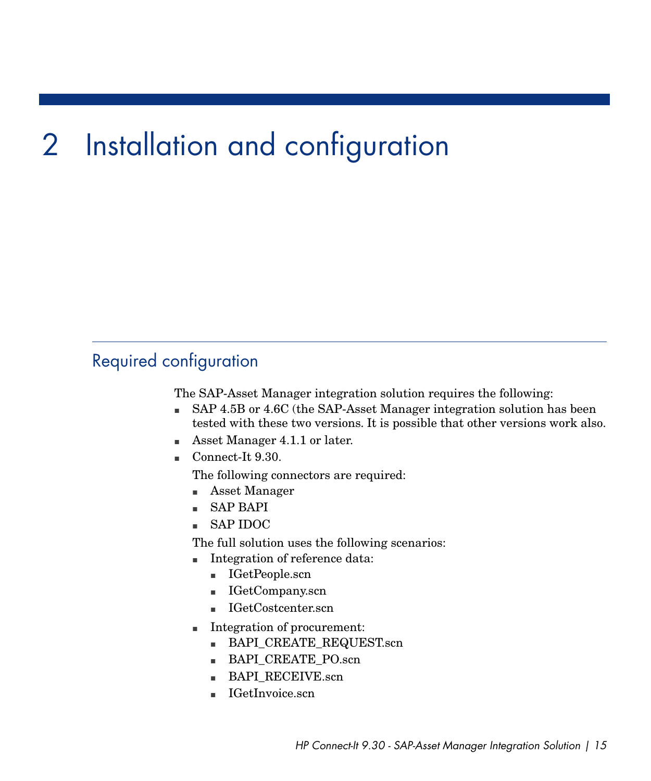# 2 Installation and configuration

### <span id="page-14-0"></span>Required configuration

<span id="page-14-1"></span>The SAP-Asset Manager integration solution requires the following:

- n SAP 4.5B or 4.6C (the SAP-Asset Manager integration solution has been tested with these two versions. It is possible that other versions work also.
- Asset Manager 4.1.1 or later.
- $\blacksquare$  Connect-It 9.30.

The following connectors are required:

- <sup>n</sup> Asset Manager
- $-$  SAP BAPI
- SAP IDOC

The full solution uses the following scenarios:

- Integration of reference data:
	- IGetPeople.scn
	- $\blacksquare$  IGetCompany.scn
	- <sup>n</sup> IGetCostcenter.scn
- $\blacksquare$  Integration of procurement:
	- BAPI\_CREATE\_REQUEST.scn
	- n BAPI CREATE PO.scn
	- BAPI\_RECEIVE.scn
	- IGetInvoice.scn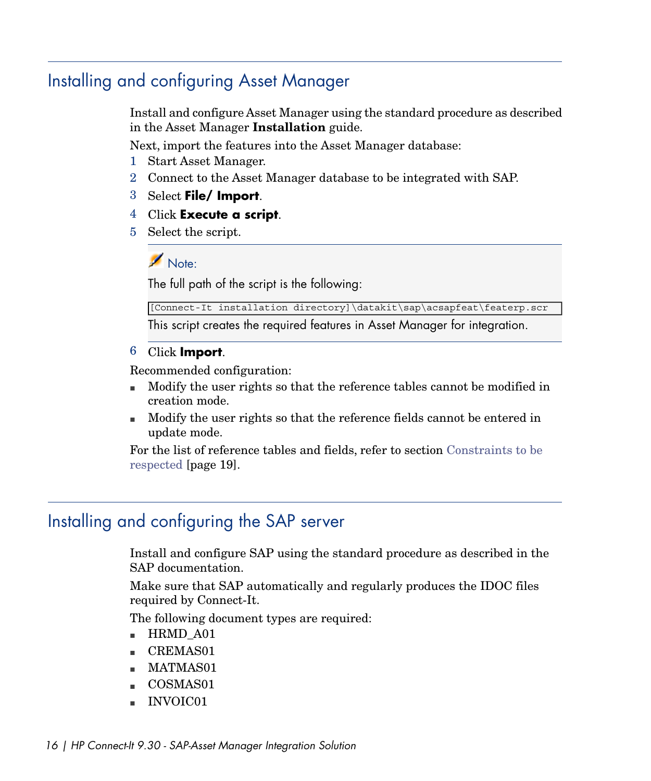## Installing and configuring Asset Manager

<span id="page-15-2"></span><span id="page-15-0"></span>Install and configure Asset Manager using the standard procedure as described in the Asset Manager **Installation** guide.

Next, import the features into the Asset Manager database:

- 1 Start Asset Manager.
- 2 Connect to the Asset Manager database to be integrated with SAP.
- 3 Select **File/ Import**.
- 4 Click **Execute a script**.
- 5 Select the script.

#### Note:

The full path of the script is the following:

[Connect-It installation directory]\datakit\sap\acsapfeat\featerp.scr This script creates the required features in Asset Manager for integration.

6 Click **Import**.

Recommended configuration:

- <sup>n</sup> Modify the user rights so that the reference tables cannot be modified in creation mode.
- <span id="page-15-1"></span><sup>n</sup> Modify the user rights so that the reference fields cannot be entered in update mode.

<span id="page-15-3"></span>For the list of reference tables and fields, refer to section [Constraints to be](#page-18-1) [respected](#page-18-1) [page 19].

## Installing and configuring the SAP server

Install and configure SAP using the standard procedure as described in the SAP documentation.

Make sure that SAP automatically and regularly produces the IDOC files required by Connect-It.

The following document types are required:

- $\blacksquare$  HRMD A01
- $CREMAS01$
- <sup>n</sup> MATMAS01
- COSMAS01
- <sup>n</sup> INVOIC01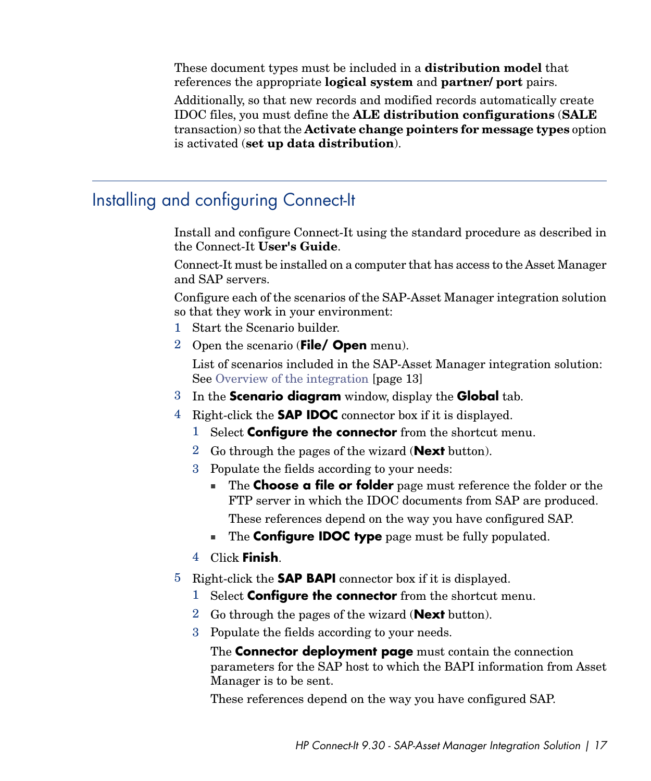These document types must be included in a **distribution model** that references the appropriate **logical system** and **partner/ port** pairs.

<span id="page-16-0"></span>Additionally, so that new records and modified records automatically create IDOC files, you must define the **ALE distribution configurations** (**SALE** transaction) so that the **Activate change pointers for message types** option is activated (**set up data distribution**).

## Installing and configuring Connect-It

<span id="page-16-1"></span>Install and configure Connect-It using the standard procedure as described in the Connect-It **User's Guide**.

Connect-It must be installed on a computer that has access to the Asset Manager and SAP servers.

Configure each of the scenarios of the SAP-Asset Manager integration solution so that they work in your environment:

- 1 Start the Scenario builder.
- 2 Open the scenario (**File/ Open** menu).

List of scenarios included in the SAP-Asset Manager integration solution: See [Overview of the integration](#page-12-0) [page 13]

- 3 In the **Scenario diagram** window, display the **Global** tab.
- 4 Right-click the **SAP IDOC** connector box if it is displayed.
	- 1 Select **Configure the connector** from the shortcut menu.
	- 2 Go through the pages of the wizard (**Next** button).
	- 3 Populate the fields according to your needs:
		- **n** The **Choose a file or folder** page must reference the folder or the FTP server in which the IDOC documents from SAP are produced. These references depend on the way you have configured SAP.
		- **n** The **Configure IDOC type** page must be fully populated.
	- 4 Click **Finish**.
- 5 Right-click the **SAP BAPI** connector box if it is displayed.
	- 1 Select **Configure the connector** from the shortcut menu.
	- 2 Go through the pages of the wizard (**Next** button).
	- 3 Populate the fields according to your needs.

The **Connector deployment page** must contain the connection parameters for the SAP host to which the BAPI information from Asset Manager is to be sent.

These references depend on the way you have configured SAP.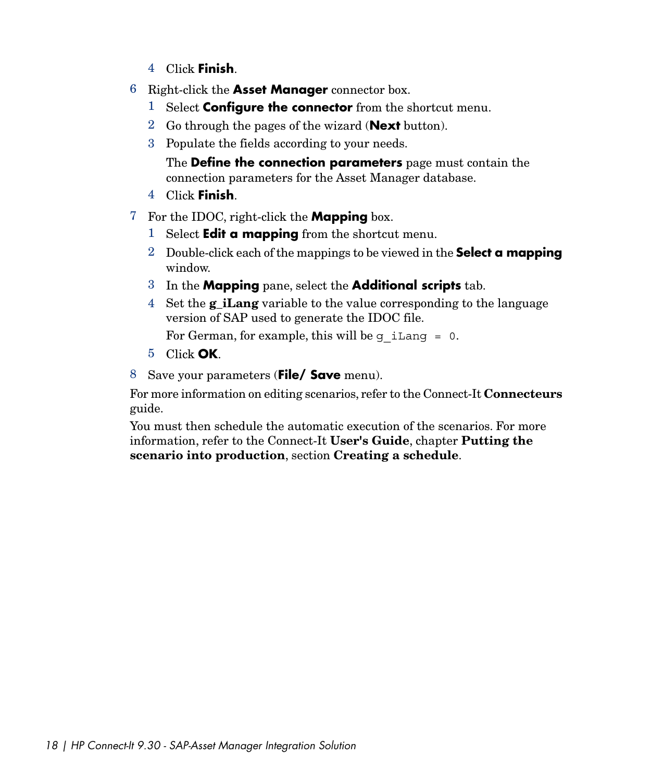- 4 Click **Finish**.
- 6 Right-click the **Asset Manager** connector box.
	- 1 Select **Configure the connector** from the shortcut menu.
	- 2 Go through the pages of the wizard (**Next** button).
	- 3 Populate the fields according to your needs.

The **Define the connection parameters** page must contain the connection parameters for the Asset Manager database.

4 Click **Finish**.

7 For the IDOC, right-click the **Mapping** box.

- 1 Select **Edit a mapping** from the shortcut menu.
- 2 Double-click each of the mappings to be viewed in the **Select a mapping** window.
- 3 In the **Mapping** pane, select the **Additional scripts** tab.
- 4 Set the **g\_iLang** variable to the value corresponding to the language version of SAP used to generate the IDOC file.

For German, for example, this will be g\_iLang =  $0$ .

- 5 Click **OK**.
- 8 Save your parameters (**File/ Save** menu).

For more information on editing scenarios, refer to the Connect-It **Connecteurs** guide.

You must then schedule the automatic execution of the scenarios. For more information, refer to the Connect-It **User's Guide**, chapter **Putting the scenario into production**, section **Creating a schedule**.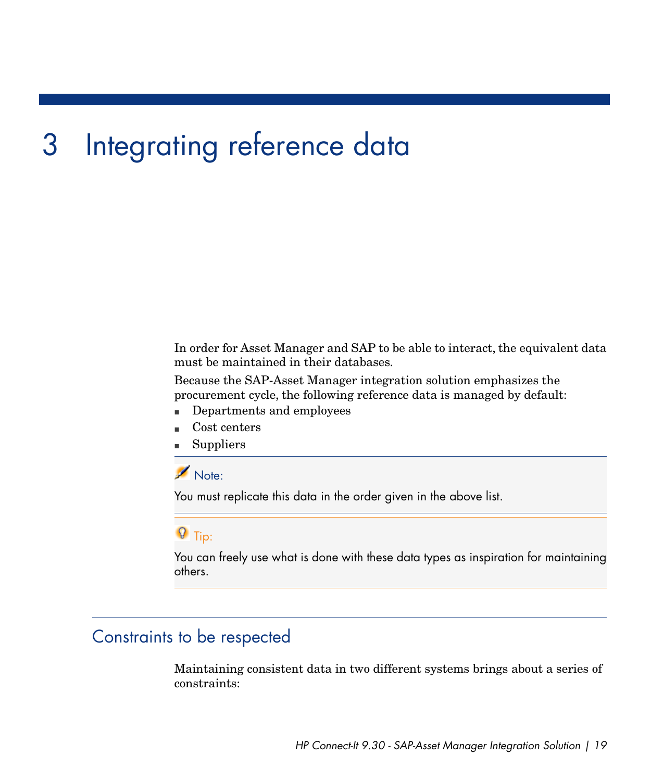## 3 Integrating reference data

<span id="page-18-0"></span>In order for Asset Manager and SAP to be able to interact, the equivalent data must be maintained in their databases.

Because the SAP-Asset Manager integration solution emphasizes the procurement cycle, the following reference data is managed by default:

- <sup>n</sup> Departments and employees
- Cost centers
- Suppliers

Note:

You must replicate this data in the order given in the above list.

### <span id="page-18-1"></span> $Q$  Tip:

You can freely use what is done with these data types as inspiration for maintaining others.

## Constraints to be respected

Maintaining consistent data in two different systems brings about a series of constraints: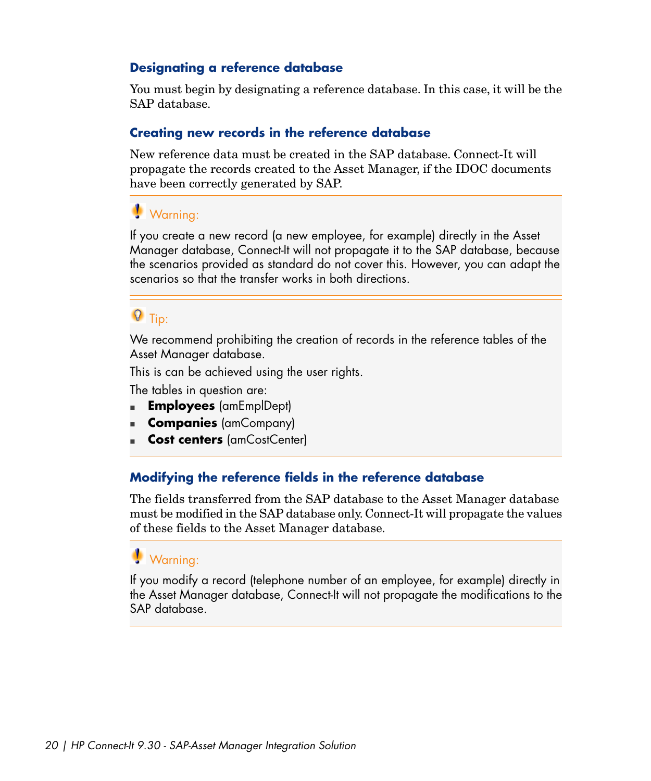#### <span id="page-19-0"></span>**Designating a reference database**

You must begin by designating a reference database. In this case, it will be the SAP database.

#### <span id="page-19-2"></span>**Creating new records in the reference database**

New reference data must be created in the SAP database. Connect-It will propagate the records created to the Asset Manager, if the IDOC documents have been correctly generated by SAP.

#### Warning:

If you create a new record (a new employee, for example) directly in the Asset Manager database, Connect-It will not propagate it to the SAP database, because the scenarios provided as standard do not cover this. However, you can adapt the scenarios so that the transfer works in both directions.

## $Q$  Tip:

We recommend prohibiting the creation of records in the reference tables of the Asset Manager database.

This is can be achieved using the user rights.

The tables in question are:

- **Employees** (amEmplDept)
- **Companies** (amCompany)
- <span id="page-19-1"></span>**Cost centers** (amCostCenter)

#### **Modifying the reference fields in the reference database**

The fields transferred from the SAP database to the Asset Manager database must be modified in the SAP database only. Connect-It will propagate the values of these fields to the Asset Manager database.

## Warning:

If you modify a record (telephone number of an employee, for example) directly in the Asset Manager database, Connect-It will not propagate the modifications to the SAP database.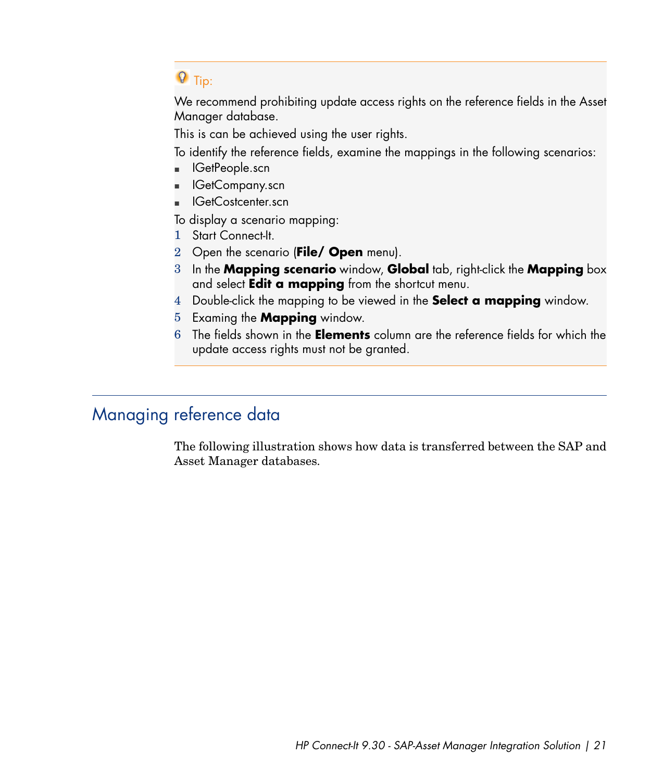## $\overline{Q}$  Tip:

We recommend prohibiting update access rights on the reference fields in the Asset Manager database.

This is can be achieved using the user rights.

To identify the reference fields, examine the mappings in the following scenarios:

- <sup>n</sup> IGetPeople.scn
- <sup>n</sup> IGetCompany.scn
- <sup>n</sup> IGetCostcenter.scn

<span id="page-20-1"></span>To display a scenario mapping:

- 1 Start Connect-It.
- 2 Open the scenario (**File/ Open** menu).
- 3 In the **Mapping scenario** window, **Global** tab, right-click the **Mapping** box and select **Edit a mapping** from the shortcut menu.
- 4 Double-click the mapping to be viewed in the **Select a mapping** window.
- 5 Examing the **Mapping** window.
- <span id="page-20-0"></span>6 The fields shown in the **Elements** column are the reference fields for which the update access rights must not be granted.

## Managing reference data

The following illustration shows how data is transferred between the SAP and Asset Manager databases.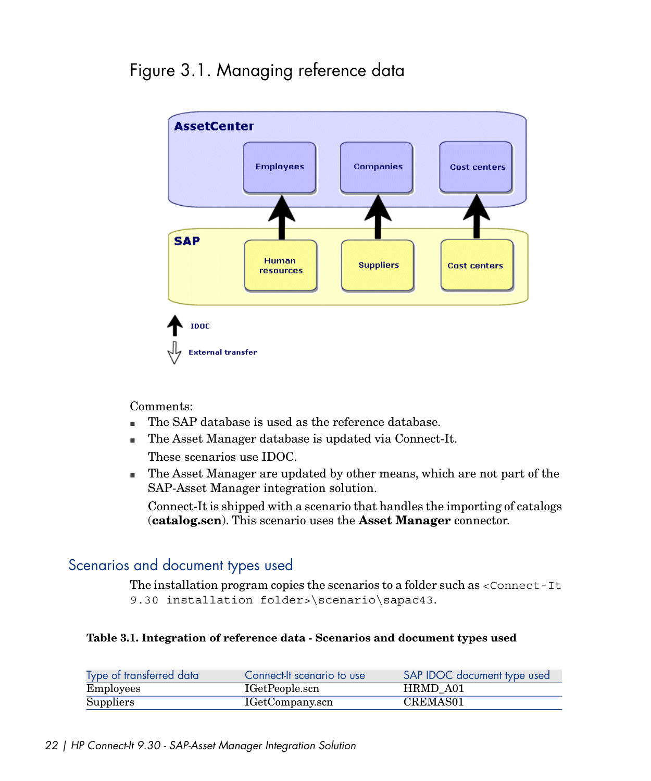## <span id="page-21-0"></span>Figure 3.1. Managing reference data



Comments:

- The SAP database is used as the reference database.
- <sup>n</sup> The Asset Manager database is updated via Connect-It. These scenarios use IDOC.
- n The Asset Manager are updated by other means, which are not part of the SAP-Asset Manager integration solution.

Connect-It is shipped with a scenario that handles the importing of catalogs (**catalog.scn**). This scenario uses the **Asset Manager** connector.

#### Scenarios and document types used

<span id="page-21-5"></span><span id="page-21-4"></span><span id="page-21-3"></span><span id="page-21-2"></span><span id="page-21-1"></span>The installation program copies the scenarios to a folder such as <Connect-It 9.30 installation folder>\scenario\sapac43.

#### **Table 3.1. Integration of reference data - Scenarios and document types used**

| Type of transferred data | Connect-It scenario to use | SAP IDOC document type used |
|--------------------------|----------------------------|-----------------------------|
| Employees                | IGetPeople.scn             | HRMD A01                    |
| Suppliers                | IGetCompany.scn            | CREMAS01                    |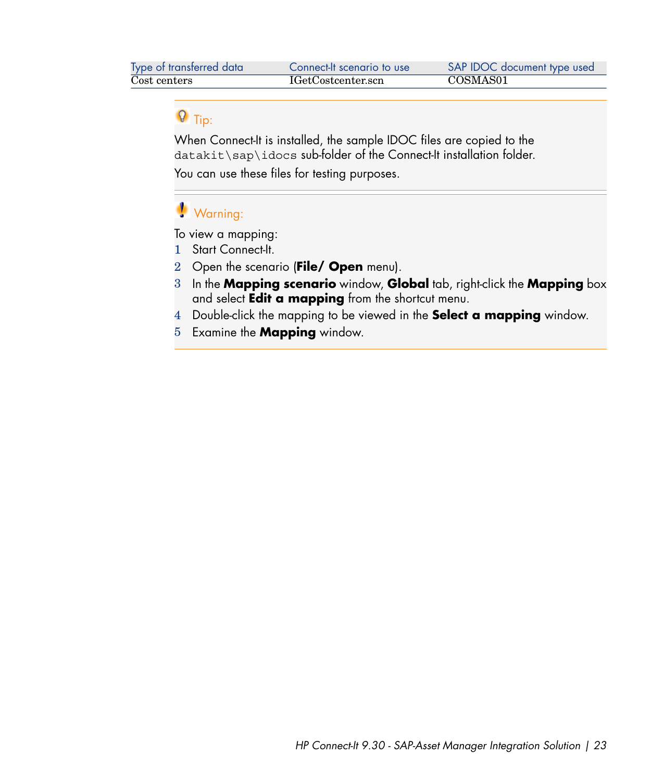| Type of transferred data | Connect-It scenario to use | SAP IDOC document type used |
|--------------------------|----------------------------|-----------------------------|
| $\rm Cost$ centers       | IGetCostcenter.scn         | COSMAS01                    |

## <span id="page-22-1"></span><span id="page-22-0"></span> $Q$  Tip:

When Connect-It is installed, the sample IDOC files are copied to the datakit\sap\idocs sub-folder of the Connect-It installation folder.

You can use these files for testing purposes.

## **Warning:**

To view a mapping:

- 1 Start Connect-It.
- 2 Open the scenario (**File/ Open** menu).
- 3 In the **Mapping scenario** window, **Global** tab, right-click the **Mapping** box and select **Edit a mapping** from the shortcut menu.
- 4 Double-click the mapping to be viewed in the **Select a mapping** window.
- 5 Examine the **Mapping** window.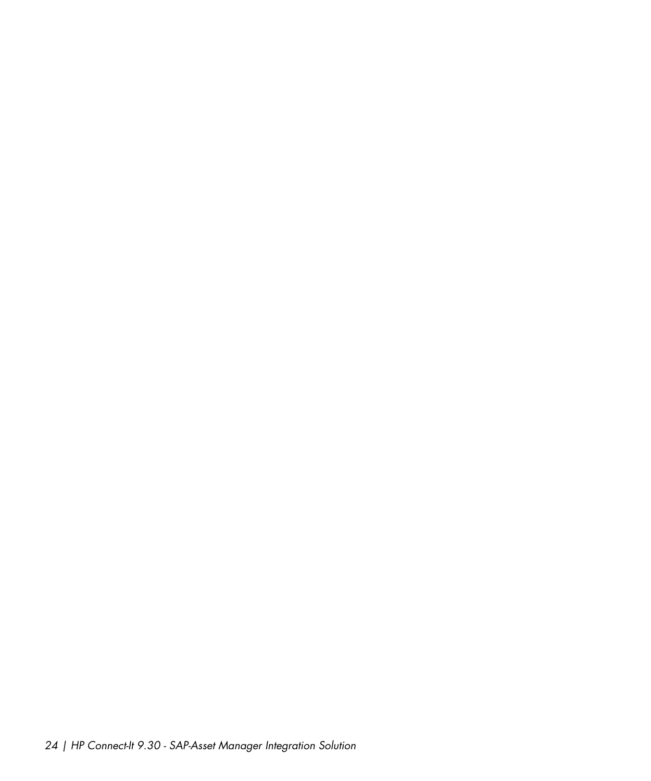*24 | HP Connect-It 9.30 - SAP-Asset Manager Integration Solution*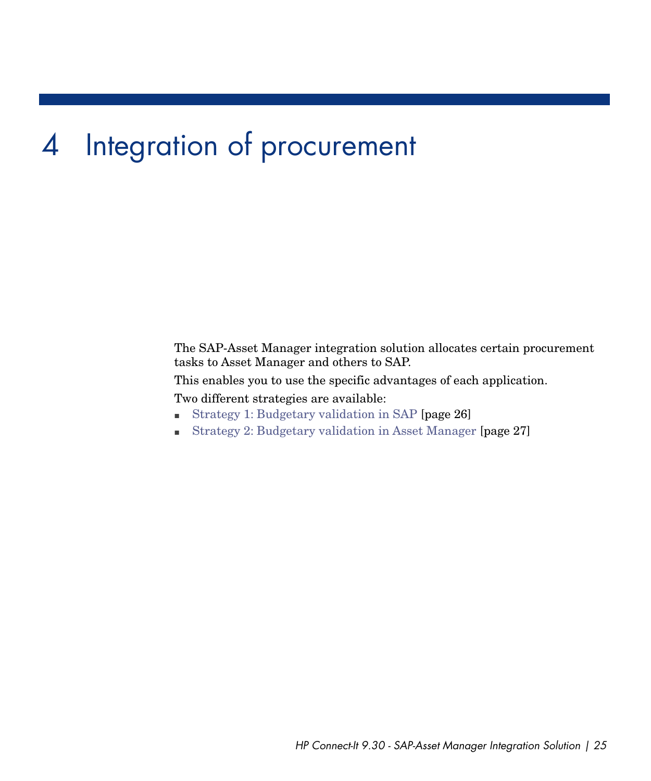# 4 Integration of procurement

<span id="page-24-0"></span>The SAP-Asset Manager integration solution allocates certain procurement tasks to Asset Manager and others to SAP.

This enables you to use the specific advantages of each application.

Two different strategies are available:

- <sup>n</sup> [Strategy 1: Budgetary validation in SAP](#page-25-0) [page 26]
- [Strategy 2: Budgetary validation in Asset Manager](#page-26-0) [page 27]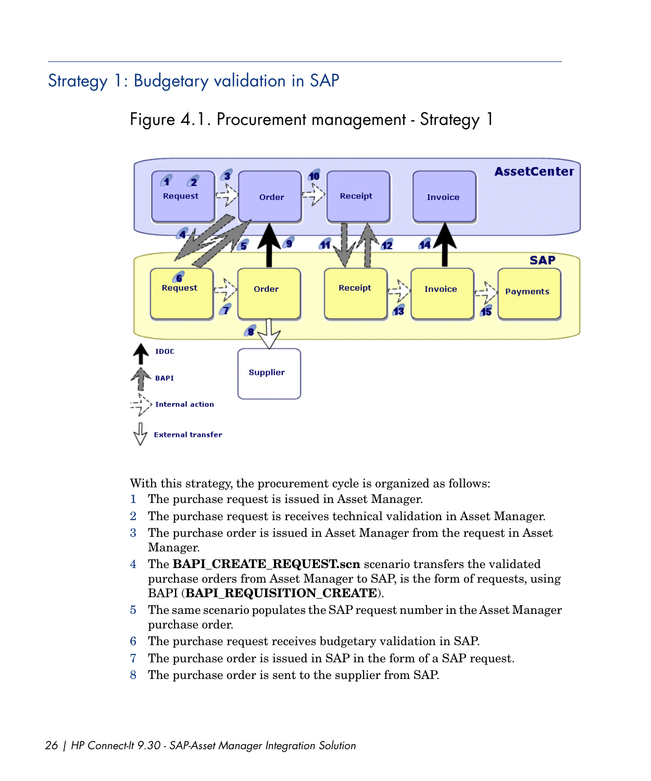## Strategy 1: Budgetary validation in SAP

<span id="page-25-1"></span><span id="page-25-0"></span>



With this strategy, the procurement cycle is organized as follows:

- 1 The purchase request is issued in Asset Manager.
- 2 The purchase request is receives technical validation in Asset Manager.
- 3 The purchase order is issued in Asset Manager from the request in Asset Manager.
- 4 The **BAPI CREATE REQUEST.scn** scenario transfers the validated purchase orders from Asset Manager to SAP, is the form of requests, using BAPI (**BAPI\_REQUISITION\_CREATE**).
- 5 The same scenario populates the SAP request number in the Asset Manager purchase order.
- 6 The purchase request receives budgetary validation in SAP.
- 7 The purchase order is issued in SAP in the form of a SAP request.
- 8 The purchase order is sent to the supplier from SAP.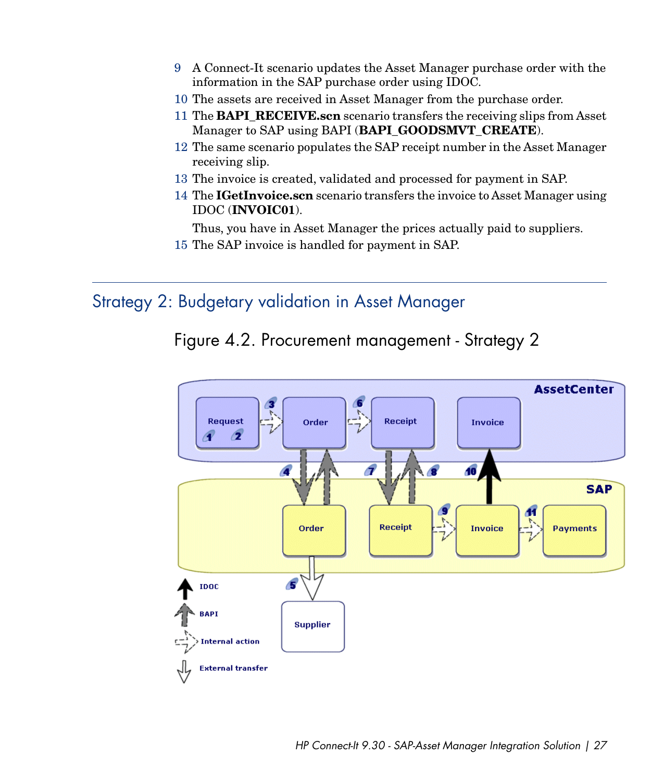- 9 A Connect-It scenario updates the Asset Manager purchase order with the information in the SAP purchase order using IDOC.
- 10 The assets are received in Asset Manager from the purchase order.
- 11 The **BAPI\_RECEIVE.scn** scenario transfers the receiving slips from Asset Manager to SAP using BAPI (**BAPI\_GOODSMVT\_CREATE**).
- 12 The same scenario populates the SAP receipt number in the Asset Manager receiving slip.
- 13 The invoice is created, validated and processed for payment in SAP.
- 14 The **IGetInvoice.scn** scenario transfers the invoice to Asset Manager using IDOC (**INVOIC01**).

Thus, you have in Asset Manager the prices actually paid to suppliers.

<span id="page-26-0"></span>15 The SAP invoice is handled for payment in SAP.

#### Strategy 2: Budgetary validation in Asset Manager

<span id="page-26-1"></span>

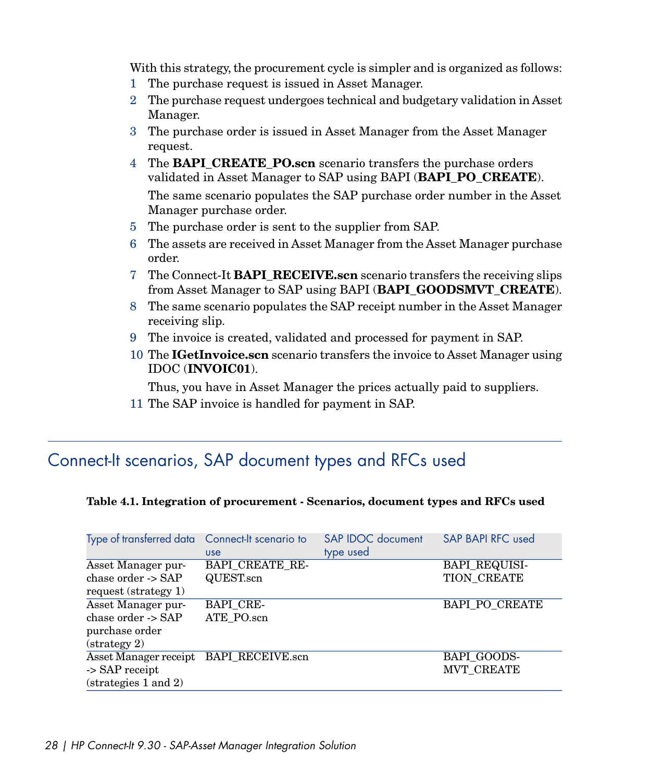With this strategy, the procurement cycle is simpler and is organized as follows:

- 1 The purchase request is issued in Asset Manager.
- 2 The purchase request undergoes technical and budgetary validation in Asset Manager.
- 3 The purchase order is issued in Asset Manager from the Asset Manager request.
- 4 The **BAPI CREATE PO.scn** scenario transfers the purchase orders validated in Asset Manager to SAP using BAPI (**BAPI\_PO\_CREATE**).

The same scenario populates the SAP purchase order number in the Asset Manager purchase order.

- 5 The purchase order is sent to the supplier from SAP.
- 6 The assets are received in Asset Manager from the Asset Manager purchase order.
- 7 The Connect-It **BAPI\_RECEIVE.scn** scenario transfers the receiving slips from Asset Manager to SAP using BAPI (**BAPI\_GOODSMVT\_CREATE**).
- 8 The same scenario populates the SAP receipt number in the Asset Manager receiving slip.
- 9 The invoice is created, validated and processed for payment in SAP.
- <span id="page-27-0"></span>10 The **IGetInvoice.scn** scenario transfers the invoice to Asset Manager using IDOC (**INVOIC01**).

<span id="page-27-7"></span><span id="page-27-5"></span>Thus, you have in Asset Manager the prices actually paid to suppliers.

<span id="page-27-1"></span>11 The SAP invoice is handled for payment in SAP.

#### Connect-It scenarios, SAP document types and RFCs used

#### **Table 4.1. Integration of procurement - Scenarios, document types and RFCs used**

<span id="page-27-6"></span><span id="page-27-4"></span><span id="page-27-3"></span><span id="page-27-2"></span>

| Type of transferred data Connect-It scenario to                                                      | <b>use</b>                   | SAP IDOC document<br>type used | <b>SAP BAPI RFC used</b>            |
|------------------------------------------------------------------------------------------------------|------------------------------|--------------------------------|-------------------------------------|
| Asset Manager pur-<br>chase order -> SAP<br>request (strategy 1)                                     | BAPI CREATE RE-<br>QUEST.scn |                                | <b>BAPI REQUISI-</b><br>TION_CREATE |
| Asset Manager pur-<br>chase order -> SAP<br>purchase order<br>$(\text{strategy } 2)$                 | BAPI_CRE-<br>ATE PO.scn      |                                | <b>BAPI PO CREATE</b>               |
| Asset Manager receipt BAPI_RECEIVE.scn<br>$\rightarrow$ SAP receipt<br>$(\text{strategies 1 and 2})$ |                              |                                | BAPI GOODS-<br><b>MVT_CREATE</b>    |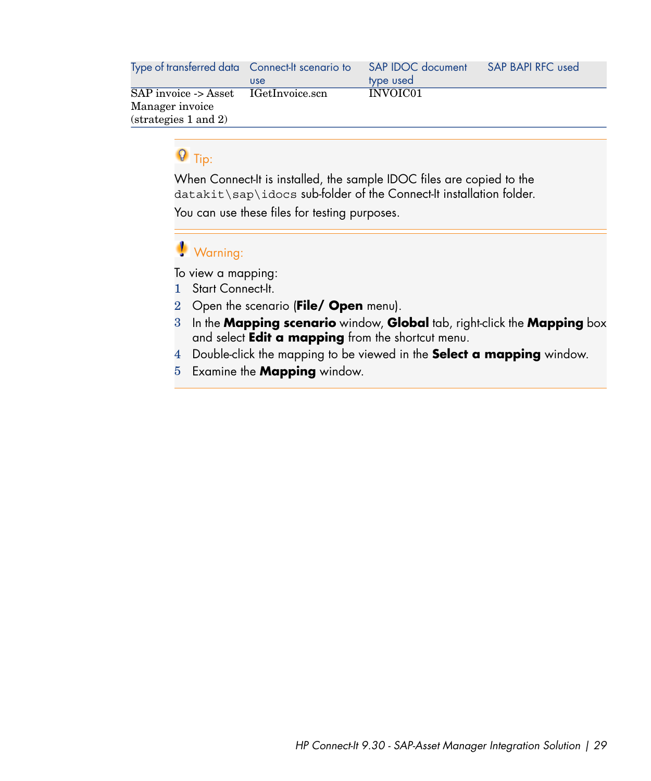| Type of transferred data Connect-It scenario to |            | SAP IDOC document | SAP BAPI RFC used |
|-------------------------------------------------|------------|-------------------|-------------------|
|                                                 | <b>use</b> | type used         |                   |
| SAP invoice -> Asset IGetInvoice.scn            |            | INVOIC01          |                   |
| Manager invoice                                 |            |                   |                   |
| $(\text{strategies 1 and 2})$                   |            |                   |                   |
|                                                 |            |                   |                   |

## <span id="page-28-0"></span> $Q$  Tip:

When Connect-It is installed, the sample IDOC files are copied to the datakit\sap\idocs sub-folder of the Connect-It installation folder.

You can use these files for testing purposes.

## Warning:

To view a mapping:

- 1 Start Connect-It.
- 2 Open the scenario (**File/ Open** menu).
- 3 In the **Mapping scenario** window, **Global** tab, right-click the **Mapping** box and select **Edit a mapping** from the shortcut menu.
- 4 Double-click the mapping to be viewed in the **Select a mapping** window.
- 5 Examine the **Mapping** window.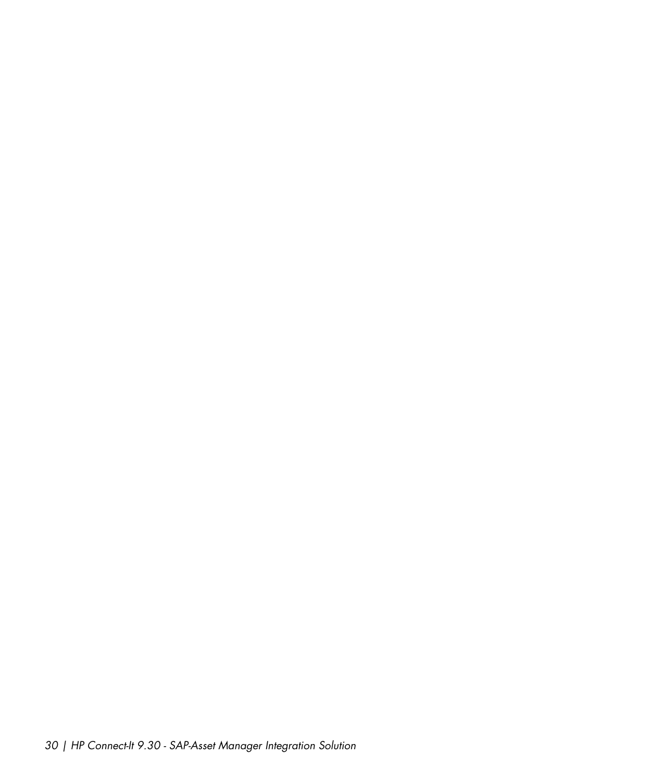*30 | HP Connect-It 9.30 - SAP-Asset Manager Integration Solution*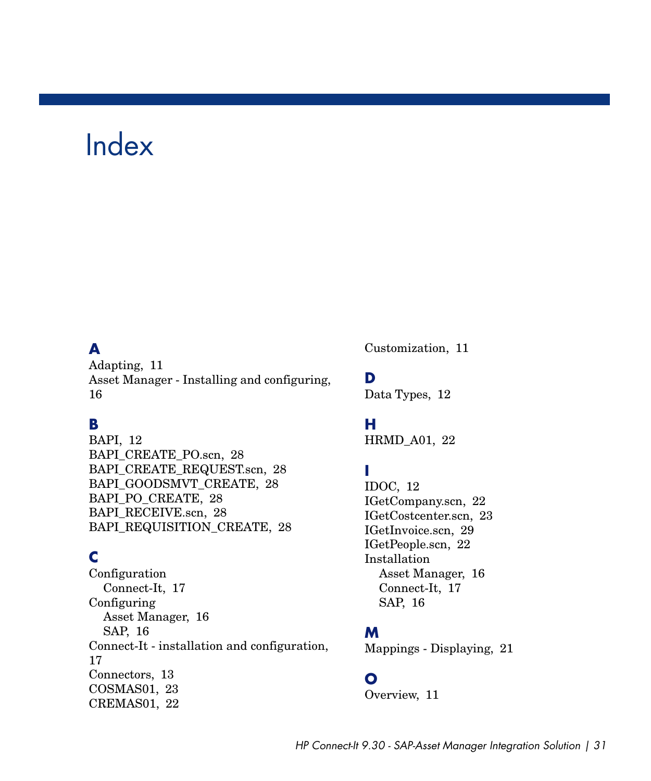## Index

#### <span id="page-30-0"></span>**A**

Adapting, [11](#page-10-2) Asset Manager - Installing and configuring, [16](#page-15-2)

#### **B**

BAPI, [12](#page-11-1) BAPI CREATE PO.scn, [28](#page-27-2) BAPI CREATE REQUEST.scn, [28](#page-27-3) BAPI\_GOODSMVT\_CREATE, [28](#page-27-4) BAPI PO\_CREATE, [28](#page-27-5) BAPI RECEIVE.scn, [28](#page-27-6) BAPI\_REQUISITION\_CREATE, [28](#page-27-7)

#### **C**

Configuration Connect-It, [17](#page-16-1) Configuring Asset Manager, [16](#page-15-2) SAP, [16](#page-15-3) Connect-It - installation and configuration, [17](#page-16-1) Connectors, [13](#page-12-1) COSMAS01, [23](#page-22-0) CREMAS01, [22](#page-21-2)

Customization, [11](#page-10-2)

#### **D**

Data Types, [12](#page-11-2)

#### **H**

HRMD\_A01, [22](#page-21-3)

#### **I**

IDOC, [12](#page-11-1) IGetCompany.scn, [22](#page-21-4) IGetCostcenter.scn, [23](#page-22-1) IGetInvoice.scn, [29](#page-28-0) IGetPeople.scn, [22](#page-21-5) Installation Asset Manager, [16](#page-15-2) Connect-It, [17](#page-16-1) SAP, [16](#page-15-3)

#### **M**

Mappings - Displaying, [21](#page-20-1)

#### **O**

Overview, [11](#page-10-0)